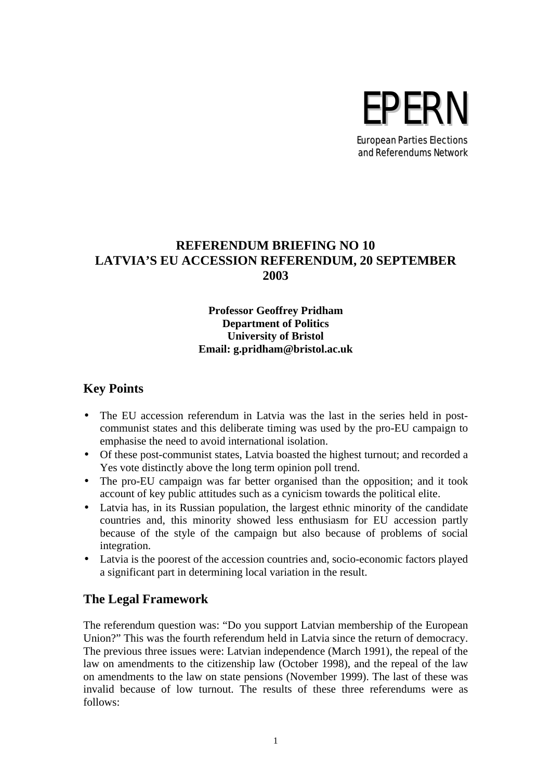

European Parties Elections and Referendums Network

# **REFERENDUM BRIEFING NO 10 LATVIA'S EU ACCESSION REFERENDUM, 20 SEPTEMBER 2003**

### **Professor Geoffrey Pridham Department of Politics University of Bristol Email: g.pridham@bristol.ac.uk**

## **Key Points**

- The EU accession referendum in Latvia was the last in the series held in postcommunist states and this deliberate timing was used by the pro-EU campaign to emphasise the need to avoid international isolation.
- Of these post-communist states, Latvia boasted the highest turnout; and recorded a Yes vote distinctly above the long term opinion poll trend.
- The pro-EU campaign was far better organised than the opposition; and it took account of key public attitudes such as a cynicism towards the political elite.
- Latvia has, in its Russian population, the largest ethnic minority of the candidate countries and, this minority showed less enthusiasm for EU accession partly because of the style of the campaign but also because of problems of social integration.
- Latvia is the poorest of the accession countries and, socio-economic factors played a significant part in determining local variation in the result.

## **The Legal Framework**

The referendum question was: "Do you support Latvian membership of the European Union?" This was the fourth referendum held in Latvia since the return of democracy. The previous three issues were: Latvian independence (March 1991), the repeal of the law on amendments to the citizenship law (October 1998), and the repeal of the law on amendments to the law on state pensions (November 1999). The last of these was invalid because of low turnout. The results of these three referendums were as follows: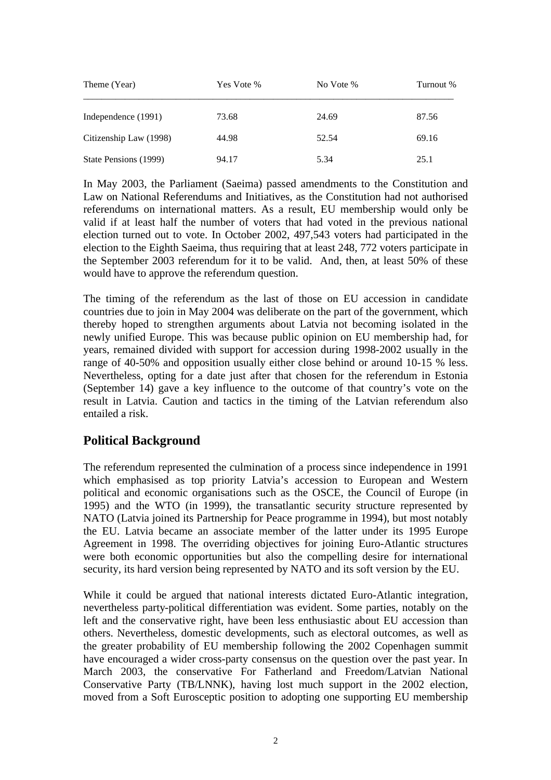| Theme (Year)           | Yes Vote % | No Vote % | Turnout % |
|------------------------|------------|-----------|-----------|
| Independence (1991)    | 73.68      | 24.69     | 87.56     |
| Citizenship Law (1998) | 44.98      | 52.54     | 69.16     |
| State Pensions (1999)  | 94.17      | 5.34      | 25.1      |

In May 2003, the Parliament (Saeima) passed amendments to the Constitution and Law on National Referendums and Initiatives, as the Constitution had not authorised referendums on international matters. As a result, EU membership would only be valid if at least half the number of voters that had voted in the previous national election turned out to vote. In October 2002, 497,543 voters had participated in the election to the Eighth Saeima, thus requiring that at least 248, 772 voters participate in the September 2003 referendum for it to be valid. And, then, at least 50% of these would have to approve the referendum question.

The timing of the referendum as the last of those on EU accession in candidate countries due to join in May 2004 was deliberate on the part of the government, which thereby hoped to strengthen arguments about Latvia not becoming isolated in the newly unified Europe. This was because public opinion on EU membership had, for years, remained divided with support for accession during 1998-2002 usually in the range of 40-50% and opposition usually either close behind or around 10-15 % less. Nevertheless, opting for a date just after that chosen for the referendum in Estonia (September 14) gave a key influence to the outcome of that country's vote on the result in Latvia. Caution and tactics in the timing of the Latvian referendum also entailed a risk.

## **Political Background**

The referendum represented the culmination of a process since independence in 1991 which emphasised as top priority Latvia's accession to European and Western political and economic organisations such as the OSCE, the Council of Europe (in 1995) and the WTO (in 1999), the transatlantic security structure represented by NATO (Latvia joined its Partnership for Peace programme in 1994), but most notably the EU. Latvia became an associate member of the latter under its 1995 Europe Agreement in 1998. The overriding objectives for joining Euro-Atlantic structures were both economic opportunities but also the compelling desire for international security, its hard version being represented by NATO and its soft version by the EU.

While it could be argued that national interests dictated Euro-Atlantic integration, nevertheless party-political differentiation was evident. Some parties, notably on the left and the conservative right, have been less enthusiastic about EU accession than others. Nevertheless, domestic developments, such as electoral outcomes, as well as the greater probability of EU membership following the 2002 Copenhagen summit have encouraged a wider cross-party consensus on the question over the past year. In March 2003, the conservative For Fatherland and Freedom/Latvian National Conservative Party (TB/LNNK), having lost much support in the 2002 election, moved from a Soft Eurosceptic position to adopting one supporting EU membership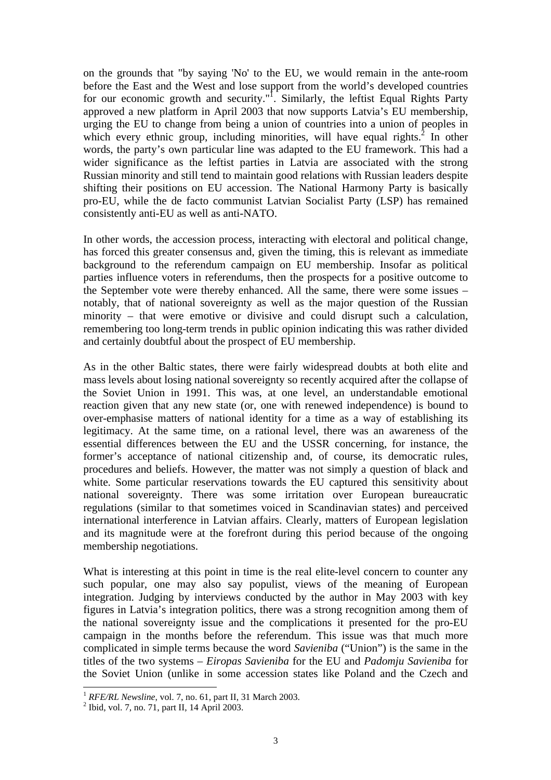on the grounds that "by saying 'No' to the EU, we would remain in the ante-room before the East and the West and lose support from the world's developed countries for our economic growth and security."<sup>1</sup>. Similarly, the leftist Equal Rights Party approved a new platform in April 2003 that now supports Latvia's EU membership, urging the EU to change from being a union of countries into a union of peoples in which every ethnic group, including minorities, will have equal rights. $^{2}$  In other words, the party's own particular line was adapted to the EU framework. This had a wider significance as the leftist parties in Latvia are associated with the strong Russian minority and still tend to maintain good relations with Russian leaders despite shifting their positions on EU accession. The National Harmony Party is basically pro-EU, while the de facto communist Latvian Socialist Party (LSP) has remained consistently anti-EU as well as anti-NATO.

In other words, the accession process, interacting with electoral and political change, has forced this greater consensus and, given the timing, this is relevant as immediate background to the referendum campaign on EU membership. Insofar as political parties influence voters in referendums, then the prospects for a positive outcome to the September vote were thereby enhanced. All the same, there were some issues – notably, that of national sovereignty as well as the major question of the Russian minority – that were emotive or divisive and could disrupt such a calculation, remembering too long-term trends in public opinion indicating this was rather divided and certainly doubtful about the prospect of EU membership.

As in the other Baltic states, there were fairly widespread doubts at both elite and mass levels about losing national sovereignty so recently acquired after the collapse of the Soviet Union in 1991. This was, at one level, an understandable emotional reaction given that any new state (or, one with renewed independence) is bound to over-emphasise matters of national identity for a time as a way of establishing its legitimacy. At the same time, on a rational level, there was an awareness of the essential differences between the EU and the USSR concerning, for instance, the former's acceptance of national citizenship and, of course, its democratic rules, procedures and beliefs. However, the matter was not simply a question of black and white. Some particular reservations towards the EU captured this sensitivity about national sovereignty. There was some irritation over European bureaucratic regulations (similar to that sometimes voiced in Scandinavian states) and perceived international interference in Latvian affairs. Clearly, matters of European legislation and its magnitude were at the forefront during this period because of the ongoing membership negotiations.

What is interesting at this point in time is the real elite-level concern to counter any such popular, one may also say populist, views of the meaning of European integration. Judging by interviews conducted by the author in May 2003 with key figures in Latvia's integration politics, there was a strong recognition among them of the national sovereignty issue and the complications it presented for the pro-EU campaign in the months before the referendum. This issue was that much more complicated in simple terms because the word *Savieniba* ("Union") is the same in the titles of the two systems – *Eiropas Savieniba* for the EU and *Padomju Savieniba* for the Soviet Union (unlike in some accession states like Poland and the Czech and

 $\overline{\phantom{a}}$ 

<sup>1</sup> *RFE/RL Newsline*, vol. 7, no. 61, part II, 31 March 2003.

<sup>2</sup> Ibid, vol. 7, no. 71, part II, 14 April 2003.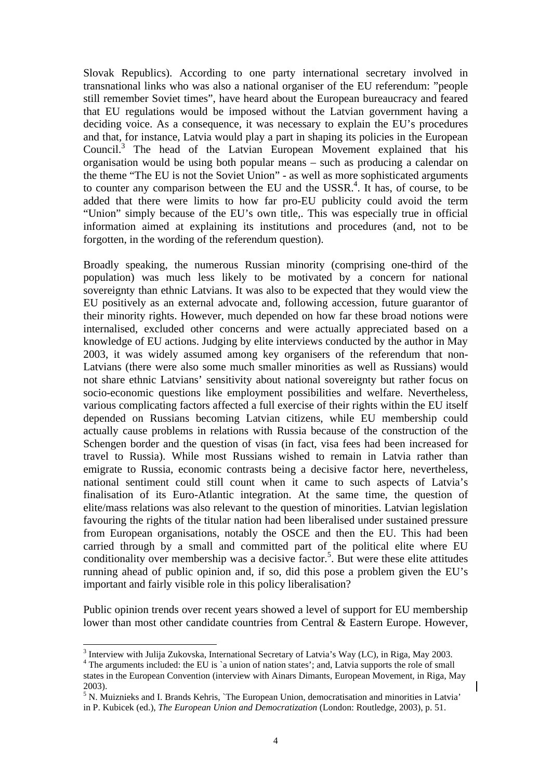Slovak Republics). According to one party international secretary involved in transnational links who was also a national organiser of the EU referendum: "people still remember Soviet times", have heard about the European bureaucracy and feared that EU regulations would be imposed without the Latvian government having a deciding voice. As a consequence, it was necessary to explain the EU's procedures and that, for instance, Latvia would play a part in shaping its policies in the European Council.<sup>3</sup> The head of the Latvian European Movement explained that his organisation would be using both popular means – such as producing a calendar on the theme "The EU is not the Soviet Union" - as well as more sophisticated arguments to counter any comparison between the EU and the USSR $<sup>4</sup>$ . It has, of course, to be</sup> added that there were limits to how far pro-EU publicity could avoid the term "Union" simply because of the EU's own title,. This was especially true in official information aimed at explaining its institutions and procedures (and, not to be forgotten, in the wording of the referendum question).

Broadly speaking, the numerous Russian minority (comprising one-third of the population) was much less likely to be motivated by a concern for national sovereignty than ethnic Latvians. It was also to be expected that they would view the EU positively as an external advocate and, following accession, future guarantor of their minority rights. However, much depended on how far these broad notions were internalised, excluded other concerns and were actually appreciated based on a knowledge of EU actions. Judging by elite interviews conducted by the author in May 2003, it was widely assumed among key organisers of the referendum that non-Latvians (there were also some much smaller minorities as well as Russians) would not share ethnic Latvians' sensitivity about national sovereignty but rather focus on socio-economic questions like employment possibilities and welfare. Nevertheless, various complicating factors affected a full exercise of their rights within the EU itself depended on Russians becoming Latvian citizens, while EU membership could actually cause problems in relations with Russia because of the construction of the Schengen border and the question of visas (in fact, visa fees had been increased for travel to Russia). While most Russians wished to remain in Latvia rather than emigrate to Russia, economic contrasts being a decisive factor here, nevertheless, national sentiment could still count when it came to such aspects of Latvia's finalisation of its Euro-Atlantic integration. At the same time, the question of elite/mass relations was also relevant to the question of minorities. Latvian legislation favouring the rights of the titular nation had been liberalised under sustained pressure from European organisations, notably the OSCE and then the EU. This had been carried through by a small and committed part of the political elite where EU conditionality over membership was a decisive factor.<sup>5</sup>. But were these elite attitudes running ahead of public opinion and, if so, did this pose a problem given the EU's important and fairly visible role in this policy liberalisation?

Public opinion trends over recent years showed a level of support for EU membership lower than most other candidate countries from Central & Eastern Europe. However,

<sup>4</sup> The arguments included: the EU is `a union of nation states'; and, Latvia supports the role of small states in the European Convention (interview with Ainars Dimants, European Movement, in Riga, May 2003).

<sup>&</sup>lt;sup>3</sup> Interview with Julija Zukovska, International Secretary of Latvia's Way (LC), in Riga, May 2003.

<sup>&</sup>lt;sup>5</sup> N. Muiznieks and I. Brands Kehris, `The European Union, democratisation and minorities in Latvia' in P. Kubicek (ed.), *The European Union and Democratization* (London: Routledge, 2003), p. 51.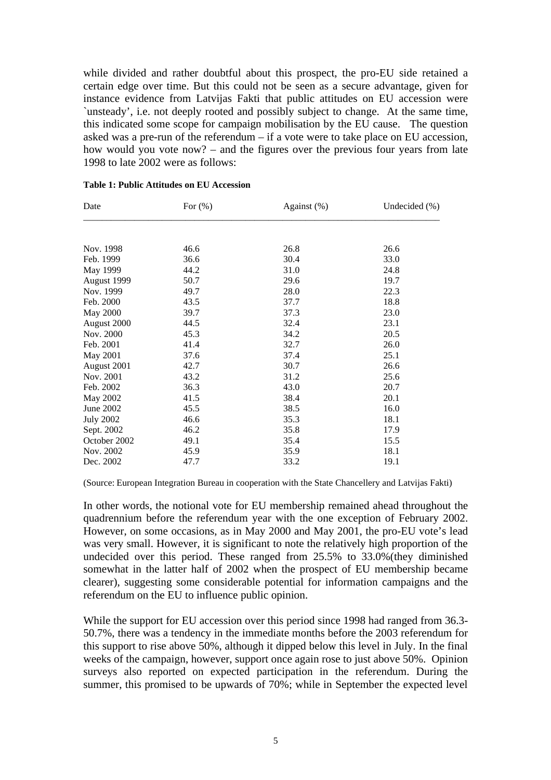while divided and rather doubtful about this prospect, the pro-EU side retained a certain edge over time. But this could not be seen as a secure advantage, given for instance evidence from Latvijas Fakti that public attitudes on EU accession were `unsteady', i.e. not deeply rooted and possibly subject to change. At the same time, this indicated some scope for campaign mobilisation by the EU cause. The question asked was a pre-run of the referendum – if a vote were to take place on EU accession, how would you vote now? – and the figures over the previous four years from late 1998 to late 2002 were as follows:

| Date             | For $(\% )$ | Against $(\%)$ | Undecided $(\% )$ |
|------------------|-------------|----------------|-------------------|
|                  |             |                |                   |
| Nov. 1998        | 46.6        | 26.8           | 26.6              |
| Feb. 1999        | 36.6        | 30.4           | 33.0              |
| May 1999         | 44.2        | 31.0           | 24.8              |
| August 1999      | 50.7        | 29.6           | 19.7              |
| Nov. 1999        | 49.7        | 28.0           | 22.3              |
| Feb. 2000        | 43.5        | 37.7           | 18.8              |
| May 2000         | 39.7        | 37.3           | 23.0              |
| August 2000      | 44.5        | 32.4           | 23.1              |
| Nov. 2000        | 45.3        | 34.2           | 20.5              |
| Feb. 2001        | 41.4        | 32.7           | 26.0              |
| May 2001         | 37.6        | 37.4           | 25.1              |
| August 2001      | 42.7        | 30.7           | 26.6              |
| Nov. 2001        | 43.2        | 31.2           | 25.6              |
| Feb. 2002        | 36.3        | 43.0           | 20.7              |
| May 2002         | 41.5        | 38.4           | 20.1              |
| June 2002        | 45.5        | 38.5           | 16.0              |
| <b>July 2002</b> | 46.6        | 35.3           | 18.1              |
| Sept. 2002       | 46.2        | 35.8           | 17.9              |
| October 2002     | 49.1        | 35.4           | 15.5              |
| Nov. 2002        | 45.9        | 35.9           | 18.1              |
| Dec. 2002        | 47.7        | 33.2           | 19.1              |

#### **Table 1: Public Attitudes on EU Accession**

(Source: European Integration Bureau in cooperation with the State Chancellery and Latvijas Fakti)

In other words, the notional vote for EU membership remained ahead throughout the quadrennium before the referendum year with the one exception of February 2002. However, on some occasions, as in May 2000 and May 2001, the pro-EU vote's lead was very small. However, it is significant to note the relatively high proportion of the undecided over this period. These ranged from 25.5% to 33.0%(they diminished somewhat in the latter half of 2002 when the prospect of EU membership became clearer), suggesting some considerable potential for information campaigns and the referendum on the EU to influence public opinion.

While the support for EU accession over this period since 1998 had ranged from 36.3- 50.7%, there was a tendency in the immediate months before the 2003 referendum for this support to rise above 50%, although it dipped below this level in July. In the final weeks of the campaign, however, support once again rose to just above 50%. Opinion surveys also reported on expected participation in the referendum. During the summer, this promised to be upwards of 70%; while in September the expected level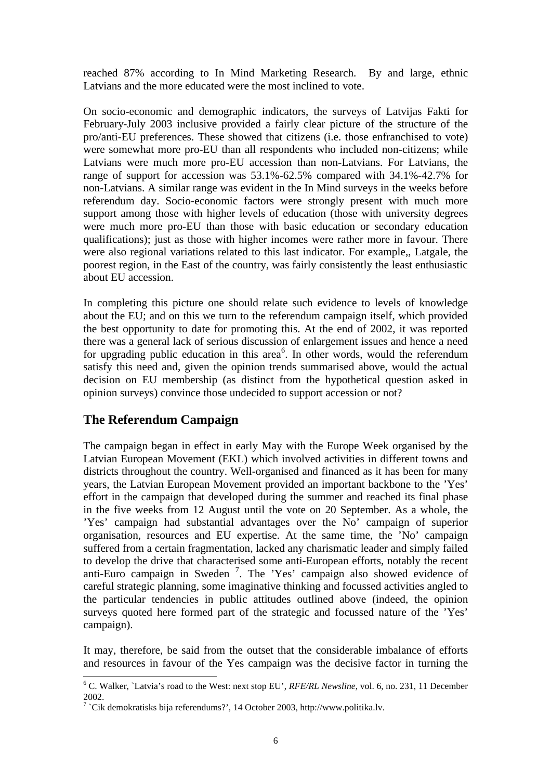reached 87% according to In Mind Marketing Research. By and large, ethnic Latvians and the more educated were the most inclined to vote.

On socio-economic and demographic indicators, the surveys of Latvijas Fakti for February-July 2003 inclusive provided a fairly clear picture of the structure of the pro/anti-EU preferences. These showed that citizens (i.e. those enfranchised to vote) were somewhat more pro-EU than all respondents who included non-citizens; while Latvians were much more pro-EU accession than non-Latvians. For Latvians, the range of support for accession was 53.1%-62.5% compared with 34.1%-42.7% for non-Latvians. A similar range was evident in the In Mind surveys in the weeks before referendum day. Socio-economic factors were strongly present with much more support among those with higher levels of education (those with university degrees were much more pro-EU than those with basic education or secondary education qualifications); just as those with higher incomes were rather more in favour. There were also regional variations related to this last indicator. For example,, Latgale, the poorest region, in the East of the country, was fairly consistently the least enthusiastic about EU accession.

In completing this picture one should relate such evidence to levels of knowledge about the EU; and on this we turn to the referendum campaign itself, which provided the best opportunity to date for promoting this. At the end of 2002, it was reported there was a general lack of serious discussion of enlargement issues and hence a need for upgrading public education in this area<sup>6</sup>. In other words, would the referendum satisfy this need and, given the opinion trends summarised above, would the actual decision on EU membership (as distinct from the hypothetical question asked in opinion surveys) convince those undecided to support accession or not?

## **The Referendum Campaign**

The campaign began in effect in early May with the Europe Week organised by the Latvian European Movement (EKL) which involved activities in different towns and districts throughout the country. Well-organised and financed as it has been for many years, the Latvian European Movement provided an important backbone to the 'Yes' effort in the campaign that developed during the summer and reached its final phase in the five weeks from 12 August until the vote on 20 September. As a whole, the 'Yes' campaign had substantial advantages over the No' campaign of superior organisation, resources and EU expertise. At the same time, the 'No' campaign suffered from a certain fragmentation, lacked any charismatic leader and simply failed to develop the drive that characterised some anti-European efforts, notably the recent anti-Euro campaign in Sweden <sup>7</sup> . The 'Yes' campaign also showed evidence of careful strategic planning, some imaginative thinking and focussed activities angled to the particular tendencies in public attitudes outlined above (indeed, the opinion surveys quoted here formed part of the strategic and focussed nature of the 'Yes' campaign).

It may, therefore, be said from the outset that the considerable imbalance of efforts and resources in favour of the Yes campaign was the decisive factor in turning the

<sup>&</sup>lt;sup>6</sup> C. Walker, `Latvia's road to the West: next stop EU', *RFE/RL Newsline*, vol. 6, no. 231, 11 December 2002.

<sup>&</sup>lt;sup>7</sup> `Cik demokratisks bija referendums?', 14 October 2003, http://www.politika.lv.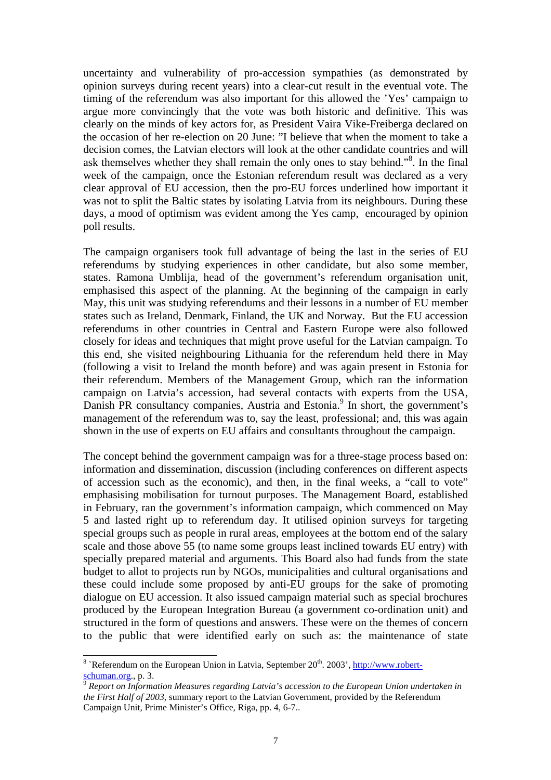uncertainty and vulnerability of pro-accession sympathies (as demonstrated by opinion surveys during recent years) into a clear-cut result in the eventual vote. The timing of the referendum was also important for this allowed the 'Yes' campaign to argue more convincingly that the vote was both historic and definitive. This was clearly on the minds of key actors for, as President Vaira Vike-Freiberga declared on the occasion of her re-election on 20 June: "I believe that when the moment to take a decision comes, the Latvian electors will look at the other candidate countries and will ask themselves whether they shall remain the only ones to stay behind."<sup>8</sup>. In the final week of the campaign, once the Estonian referendum result was declared as a very clear approval of EU accession, then the pro-EU forces underlined how important it was not to split the Baltic states by isolating Latvia from its neighbours. During these days, a mood of optimism was evident among the Yes camp, encouraged by opinion poll results.

The campaign organisers took full advantage of being the last in the series of EU referendums by studying experiences in other candidate, but also some member, states. Ramona Umblija, head of the government's referendum organisation unit, emphasised this aspect of the planning. At the beginning of the campaign in early May, this unit was studying referendums and their lessons in a number of EU member states such as Ireland, Denmark, Finland, the UK and Norway. But the EU accession referendums in other countries in Central and Eastern Europe were also followed closely for ideas and techniques that might prove useful for the Latvian campaign. To this end, she visited neighbouring Lithuania for the referendum held there in May (following a visit to Ireland the month before) and was again present in Estonia for their referendum. Members of the Management Group, which ran the information campaign on Latvia's accession, had several contacts with experts from the USA, Danish PR consultancy companies, Austria and Estonia.<sup>9</sup> In short, the government's management of the referendum was to, say the least, professional; and, this was again shown in the use of experts on EU affairs and consultants throughout the campaign.

The concept behind the government campaign was for a three-stage process based on: information and dissemination, discussion (including conferences on different aspects of accession such as the economic), and then, in the final weeks, a "call to vote" emphasising mobilisation for turnout purposes. The Management Board, established in February, ran the government's information campaign, which commenced on May 5 and lasted right up to referendum day. It utilised opinion surveys for targeting special groups such as people in rural areas, employees at the bottom end of the salary scale and those above 55 (to name some groups least inclined towards EU entry) with specially prepared material and arguments. This Board also had funds from the state budget to allot to projects run by NGOs, municipalities and cultural organisations and these could include some proposed by anti-EU groups for the sake of promoting dialogue on EU accession. It also issued campaign material such as special brochures produced by the European Integration Bureau (a government co-ordination unit) and structured in the form of questions and answers. These were on the themes of concern to the public that were identified early on such as: the maintenance of state

 $\overline{\phantom{a}}$ 

<sup>&</sup>lt;sup>8</sup> `Referendum on the European Union in Latvia, September  $20<sup>th</sup>$ . 2003',  $http://www.robert-$ </u>  $\frac{\text{schuman.org}}{\text{o}}$ , p. 3.

<sup>9</sup> *Report on Information Measures regarding Latvia's accession to the European Union undertaken in the First Half of 2003*, summary report to the Latvian Government, provided by the Referendum Campaign Unit, Prime Minister's Office, Riga, pp. 4, 6-7..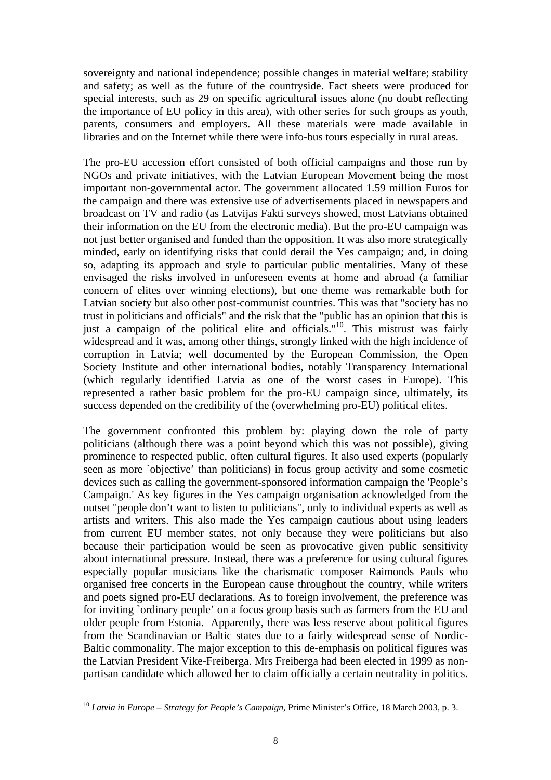sovereignty and national independence; possible changes in material welfare; stability and safety; as well as the future of the countryside. Fact sheets were produced for special interests, such as 29 on specific agricultural issues alone (no doubt reflecting the importance of EU policy in this area), with other series for such groups as youth, parents, consumers and employers. All these materials were made available in libraries and on the Internet while there were info-bus tours especially in rural areas.

The pro-EU accession effort consisted of both official campaigns and those run by NGOs and private initiatives, with the Latvian European Movement being the most important non-governmental actor. The government allocated 1.59 million Euros for the campaign and there was extensive use of advertisements placed in newspapers and broadcast on TV and radio (as Latvijas Fakti surveys showed, most Latvians obtained their information on the EU from the electronic media). But the pro-EU campaign was not just better organised and funded than the opposition. It was also more strategically minded, early on identifying risks that could derail the Yes campaign; and, in doing so, adapting its approach and style to particular public mentalities. Many of these envisaged the risks involved in unforeseen events at home and abroad (a familiar concern of elites over winning elections), but one theme was remarkable both for Latvian society but also other post-communist countries. This was that "society has no trust in politicians and officials" and the risk that the "public has an opinion that this is just a campaign of the political elite and officials."<sup>10</sup>. This mistrust was fairly widespread and it was, among other things, strongly linked with the high incidence of corruption in Latvia; well documented by the European Commission, the Open Society Institute and other international bodies, notably Transparency International (which regularly identified Latvia as one of the worst cases in Europe). This represented a rather basic problem for the pro-EU campaign since, ultimately, its success depended on the credibility of the (overwhelming pro-EU) political elites.

The government confronted this problem by: playing down the role of party politicians (although there was a point beyond which this was not possible), giving prominence to respected public, often cultural figures. It also used experts (popularly seen as more `objective' than politicians) in focus group activity and some cosmetic devices such as calling the government-sponsored information campaign the 'People's Campaign.' As key figures in the Yes campaign organisation acknowledged from the outset "people don't want to listen to politicians", only to individual experts as well as artists and writers. This also made the Yes campaign cautious about using leaders from current EU member states, not only because they were politicians but also because their participation would be seen as provocative given public sensitivity about international pressure. Instead, there was a preference for using cultural figures especially popular musicians like the charismatic composer Raimonds Pauls who organised free concerts in the European cause throughout the country, while writers and poets signed pro-EU declarations. As to foreign involvement, the preference was for inviting `ordinary people' on a focus group basis such as farmers from the EU and older people from Estonia. Apparently, there was less reserve about political figures from the Scandinavian or Baltic states due to a fairly widespread sense of Nordic-Baltic commonality. The major exception to this de-emphasis on political figures was the Latvian President Vike-Freiberga. Mrs Freiberga had been elected in 1999 as nonpartisan candidate which allowed her to claim officially a certain neutrality in politics.

 $\overline{\phantom{a}}$ <sup>10</sup> *Latvia in Europe – Strategy for People's Campaign*, Prime Minister's Office, 18 March 2003, p. 3.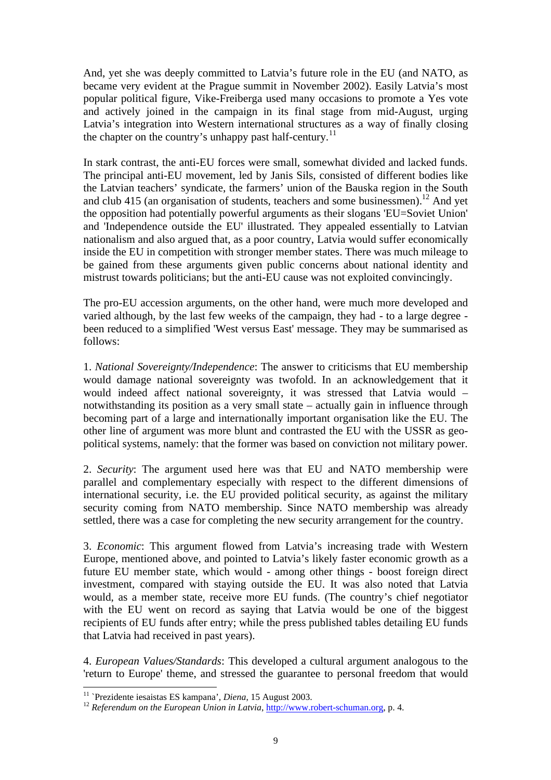And, yet she was deeply committed to Latvia's future role in the EU (and NATO, as became very evident at the Prague summit in November 2002). Easily Latvia's most popular political figure, Vike-Freiberga used many occasions to promote a Yes vote and actively joined in the campaign in its final stage from mid-August, urging Latvia's integration into Western international structures as a way of finally closing the chapter on the country's unhappy past half-century.<sup>11</sup>

In stark contrast, the anti-EU forces were small, somewhat divided and lacked funds. The principal anti-EU movement, led by Janis Sils, consisted of different bodies like the Latvian teachers' syndicate, the farmers' union of the Bauska region in the South and club 415 (an organisation of students, teachers and some businessmen).<sup>12</sup> And vet the opposition had potentially powerful arguments as their slogans 'EU=Soviet Union' and 'Independence outside the EU' illustrated. They appealed essentially to Latvian nationalism and also argued that, as a poor country, Latvia would suffer economically inside the EU in competition with stronger member states. There was much mileage to be gained from these arguments given public concerns about national identity and mistrust towards politicians; but the anti-EU cause was not exploited convincingly.

The pro-EU accession arguments, on the other hand, were much more developed and varied although, by the last few weeks of the campaign, they had - to a large degree been reduced to a simplified 'West versus East' message. They may be summarised as follows:

1. *National Sovereignty/Independence*: The answer to criticisms that EU membership would damage national sovereignty was twofold. In an acknowledgement that it would indeed affect national sovereignty, it was stressed that Latvia would – notwithstanding its position as a very small state – actually gain in influence through becoming part of a large and internationally important organisation like the EU. The other line of argument was more blunt and contrasted the EU with the USSR as geopolitical systems, namely: that the former was based on conviction not military power.

2. *Security*: The argument used here was that EU and NATO membership were parallel and complementary especially with respect to the different dimensions of international security, i.e. the EU provided political security, as against the military security coming from NATO membership. Since NATO membership was already settled, there was a case for completing the new security arrangement for the country.

3. *Economic*: This argument flowed from Latvia's increasing trade with Western Europe, mentioned above, and pointed to Latvia's likely faster economic growth as a future EU member state, which would - among other things - boost foreign direct investment, compared with staying outside the EU. It was also noted that Latvia would, as a member state, receive more EU funds. (The country's chief negotiator with the EU went on record as saying that Latvia would be one of the biggest recipients of EU funds after entry; while the press published tables detailing EU funds that Latvia had received in past years).

4. *European Values/Standards*: This developed a cultural argument analogous to the 'return to Europe' theme, and stressed the guarantee to personal freedom that would

 $\overline{\phantom{a}}$ 

<sup>11</sup> `Prezidente iesaistas ES kampana', *Diena*, 15 August 2003.

<sup>&</sup>lt;sup>12</sup> Referendum on the European Union in Latvia, http://www.robert-schuman.org, p. 4.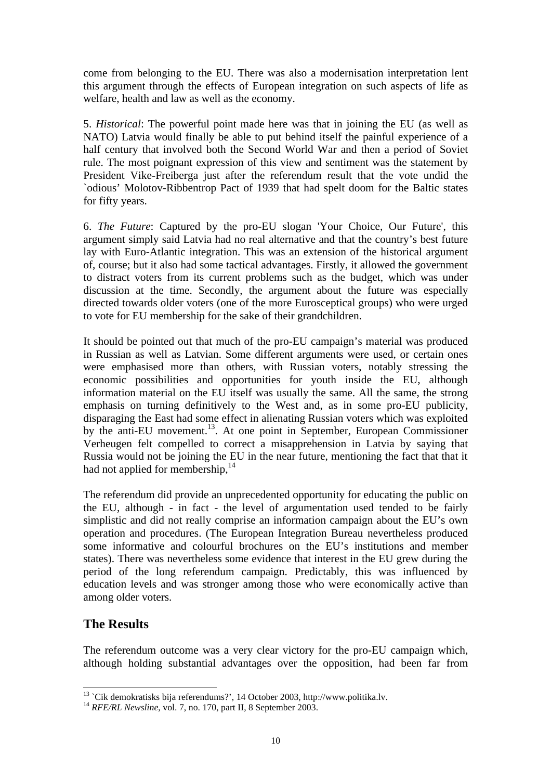come from belonging to the EU. There was also a modernisation interpretation lent this argument through the effects of European integration on such aspects of life as welfare, health and law as well as the economy.

5. *Historical*: The powerful point made here was that in joining the EU (as well as NATO) Latvia would finally be able to put behind itself the painful experience of a half century that involved both the Second World War and then a period of Soviet rule. The most poignant expression of this view and sentiment was the statement by President Vike-Freiberga just after the referendum result that the vote undid the `odious' Molotov-Ribbentrop Pact of 1939 that had spelt doom for the Baltic states for fifty years.

6. *The Future*: Captured by the pro-EU slogan 'Your Choice, Our Future', this argument simply said Latvia had no real alternative and that the country's best future lay with Euro-Atlantic integration. This was an extension of the historical argument of, course; but it also had some tactical advantages. Firstly, it allowed the government to distract voters from its current problems such as the budget, which was under discussion at the time. Secondly, the argument about the future was especially directed towards older voters (one of the more Eurosceptical groups) who were urged to vote for EU membership for the sake of their grandchildren.

It should be pointed out that much of the pro-EU campaign's material was produced in Russian as well as Latvian. Some different arguments were used, or certain ones were emphasised more than others, with Russian voters, notably stressing the economic possibilities and opportunities for youth inside the EU, although information material on the EU itself was usually the same. All the same, the strong emphasis on turning definitively to the West and, as in some pro-EU publicity, disparaging the East had some effect in alienating Russian voters which was exploited by the anti-EU movement.<sup>13</sup>. At one point in September, European Commissioner Verheugen felt compelled to correct a misapprehension in Latvia by saying that Russia would not be joining the EU in the near future, mentioning the fact that that it had not applied for membership, $14$ 

The referendum did provide an unprecedented opportunity for educating the public on the EU, although - in fact - the level of argumentation used tended to be fairly simplistic and did not really comprise an information campaign about the EU's own operation and procedures. (The European Integration Bureau nevertheless produced some informative and colourful brochures on the EU's institutions and member states). There was nevertheless some evidence that interest in the EU grew during the period of the long referendum campaign. Predictably, this was influenced by education levels and was stronger among those who were economically active than among older voters.

## **The Results**

 $\overline{\phantom{a}}$ 

The referendum outcome was a very clear victory for the pro-EU campaign which, although holding substantial advantages over the opposition, had been far from

 $13$  `Cik demokratisks bija referendums?', 14 October 2003, http://www.politika.lv.

<sup>&</sup>lt;sup>14</sup> *RFE/RL Newsline*, vol. 7, no. 170, part II, 8 September 2003.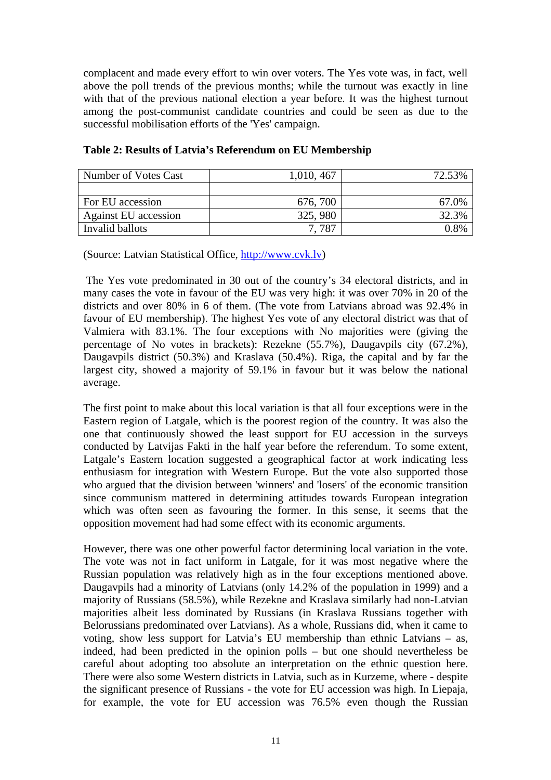complacent and made every effort to win over voters. The Yes vote was, in fact, well above the poll trends of the previous months; while the turnout was exactly in line with that of the previous national election a year before. It was the highest turnout among the post-communist candidate countries and could be seen as due to the successful mobilisation efforts of the 'Yes' campaign.

| Number of Votes Cast | 1,010, 467 | 72.53% |
|----------------------|------------|--------|
|                      |            |        |
| For EU accession     | 676, 700   | 67.0%  |
| Against EU accession | 325, 980   | 32.3%  |
| Invalid ballots      | 7.787      | 0 ጸ%   |

### **Table 2: Results of Latvia's Referendum on EU Membership**

(Source: Latvian Statistical Office, http://www.cvk.lv)

 The Yes vote predominated in 30 out of the country's 34 electoral districts, and in many cases the vote in favour of the EU was very high: it was over 70% in 20 of the districts and over 80% in 6 of them. (The vote from Latvians abroad was 92.4% in favour of EU membership). The highest Yes vote of any electoral district was that of Valmiera with 83.1%. The four exceptions with No majorities were (giving the percentage of No votes in brackets): Rezekne (55.7%), Daugavpils city (67.2%), Daugavpils district (50.3%) and Kraslava (50.4%). Riga, the capital and by far the largest city, showed a majority of 59.1% in favour but it was below the national average.

The first point to make about this local variation is that all four exceptions were in the Eastern region of Latgale, which is the poorest region of the country. It was also the one that continuously showed the least support for EU accession in the surveys conducted by Latvijas Fakti in the half year before the referendum. To some extent, Latgale's Eastern location suggested a geographical factor at work indicating less enthusiasm for integration with Western Europe. But the vote also supported those who argued that the division between 'winners' and 'losers' of the economic transition since communism mattered in determining attitudes towards European integration which was often seen as favouring the former. In this sense, it seems that the opposition movement had had some effect with its economic arguments.

However, there was one other powerful factor determining local variation in the vote. The vote was not in fact uniform in Latgale, for it was most negative where the Russian population was relatively high as in the four exceptions mentioned above. Daugavpils had a minority of Latvians (only 14.2% of the population in 1999) and a majority of Russians (58.5%), while Rezekne and Kraslava similarly had non-Latvian majorities albeit less dominated by Russians (in Kraslava Russians together with Belorussians predominated over Latvians). As a whole, Russians did, when it came to voting, show less support for Latvia's EU membership than ethnic Latvians – as, indeed, had been predicted in the opinion polls – but one should nevertheless be careful about adopting too absolute an interpretation on the ethnic question here. There were also some Western districts in Latvia, such as in Kurzeme, where - despite the significant presence of Russians - the vote for EU accession was high. In Liepaja, for example, the vote for EU accession was 76.5% even though the Russian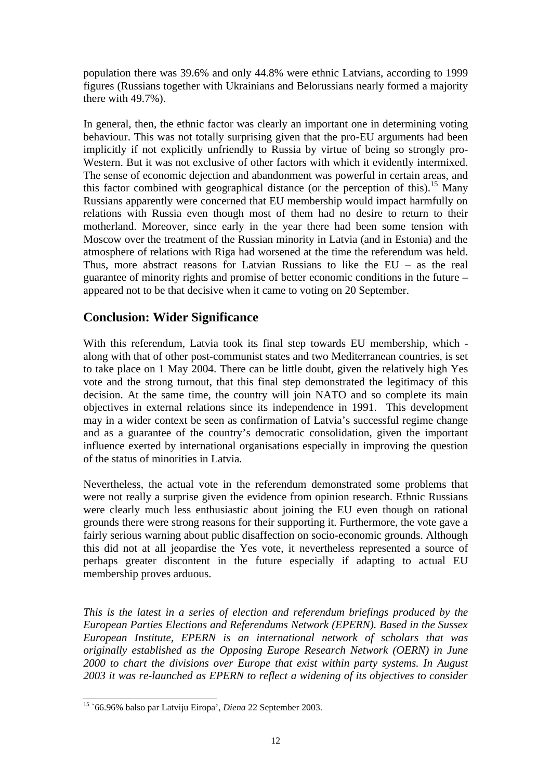population there was 39.6% and only 44.8% were ethnic Latvians, according to 1999 figures (Russians together with Ukrainians and Belorussians nearly formed a majority there with 49.7%).

In general, then, the ethnic factor was clearly an important one in determining voting behaviour. This was not totally surprising given that the pro-EU arguments had been implicitly if not explicitly unfriendly to Russia by virtue of being so strongly pro-Western. But it was not exclusive of other factors with which it evidently intermixed. The sense of economic dejection and abandonment was powerful in certain areas, and this factor combined with geographical distance (or the perception of this).<sup>15</sup> Many Russians apparently were concerned that EU membership would impact harmfully on relations with Russia even though most of them had no desire to return to their motherland. Moreover, since early in the year there had been some tension with Moscow over the treatment of the Russian minority in Latvia (and in Estonia) and the atmosphere of relations with Riga had worsened at the time the referendum was held. Thus, more abstract reasons for Latvian Russians to like the  $EU -$  as the real guarantee of minority rights and promise of better economic conditions in the future – appeared not to be that decisive when it came to voting on 20 September.

## **Conclusion: Wider Significance**

With this referendum, Latvia took its final step towards EU membership, which along with that of other post-communist states and two Mediterranean countries, is set to take place on 1 May 2004. There can be little doubt, given the relatively high Yes vote and the strong turnout, that this final step demonstrated the legitimacy of this decision. At the same time, the country will join NATO and so complete its main objectives in external relations since its independence in 1991. This development may in a wider context be seen as confirmation of Latvia's successful regime change and as a guarantee of the country's democratic consolidation, given the important influence exerted by international organisations especially in improving the question of the status of minorities in Latvia.

Nevertheless, the actual vote in the referendum demonstrated some problems that were not really a surprise given the evidence from opinion research. Ethnic Russians were clearly much less enthusiastic about joining the EU even though on rational grounds there were strong reasons for their supporting it. Furthermore, the vote gave a fairly serious warning about public disaffection on socio-economic grounds. Although this did not at all jeopardise the Yes vote, it nevertheless represented a source of perhaps greater discontent in the future especially if adapting to actual EU membership proves arduous.

*This is the latest in a series of election and referendum briefings produced by the European Parties Elections and Referendums Network (EPERN). Based in the Sussex European Institute, EPERN is an international network of scholars that was originally established as the Opposing Europe Research Network (OERN) in June 2000 to chart the divisions over Europe that exist within party systems. In August 2003 it was re-launched as EPERN to reflect a widening of its objectives to consider* 

 $\overline{\phantom{a}}$ <sup>15</sup> `66.96% balso par Latviju Eiropa', *Diena* 22 September 2003.